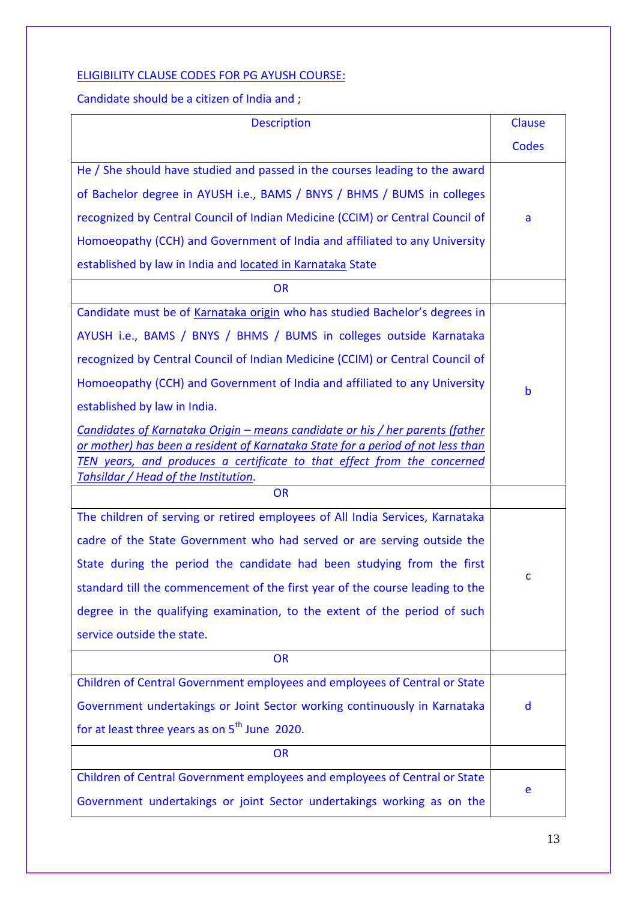## ELIGIBILITY CLAUSE CODES FOR PG AYUSH COURSE:

Candidate should be a citizen of India and ;

| <b>Description</b>                                                                                                                                                                                                                                                                  | Clause       |
|-------------------------------------------------------------------------------------------------------------------------------------------------------------------------------------------------------------------------------------------------------------------------------------|--------------|
|                                                                                                                                                                                                                                                                                     | <b>Codes</b> |
| He / She should have studied and passed in the courses leading to the award                                                                                                                                                                                                         |              |
| of Bachelor degree in AYUSH i.e., BAMS / BNYS / BHMS / BUMS in colleges                                                                                                                                                                                                             |              |
| recognized by Central Council of Indian Medicine (CCIM) or Central Council of                                                                                                                                                                                                       | a            |
| Homoeopathy (CCH) and Government of India and affiliated to any University                                                                                                                                                                                                          |              |
| established by law in India and located in Karnataka State                                                                                                                                                                                                                          |              |
| <b>OR</b>                                                                                                                                                                                                                                                                           |              |
| Candidate must be of Karnataka origin who has studied Bachelor's degrees in                                                                                                                                                                                                         |              |
| AYUSH i.e., BAMS / BNYS / BHMS / BUMS in colleges outside Karnataka                                                                                                                                                                                                                 |              |
| recognized by Central Council of Indian Medicine (CCIM) or Central Council of                                                                                                                                                                                                       |              |
| Homoeopathy (CCH) and Government of India and affiliated to any University                                                                                                                                                                                                          | b            |
| established by law in India.                                                                                                                                                                                                                                                        |              |
| Candidates of Karnataka Origin - means candidate or his / her parents (father<br>or mother) has been a resident of Karnataka State for a period of not less than<br>TEN years, and produces a certificate to that effect from the concerned<br>Tahsildar / Head of the Institution. |              |
| <b>OR</b>                                                                                                                                                                                                                                                                           |              |
| The children of serving or retired employees of All India Services, Karnataka                                                                                                                                                                                                       |              |
| cadre of the State Government who had served or are serving outside the                                                                                                                                                                                                             |              |
| State during the period the candidate had been studying from the first                                                                                                                                                                                                              |              |
| standard till the commencement of the first year of the course leading to the                                                                                                                                                                                                       | C            |
| degree in the qualifying examination, to the extent of the period of such                                                                                                                                                                                                           |              |
| service outside the state.                                                                                                                                                                                                                                                          |              |
| <b>OR</b>                                                                                                                                                                                                                                                                           |              |
| Children of Central Government employees and employees of Central or State                                                                                                                                                                                                          |              |
| Government undertakings or Joint Sector working continuously in Karnataka                                                                                                                                                                                                           | d            |
| for at least three years as on 5 <sup>th</sup> June 2020.                                                                                                                                                                                                                           |              |
| <b>OR</b>                                                                                                                                                                                                                                                                           |              |
| Children of Central Government employees and employees of Central or State                                                                                                                                                                                                          | e            |
| Government undertakings or joint Sector undertakings working as on the                                                                                                                                                                                                              |              |